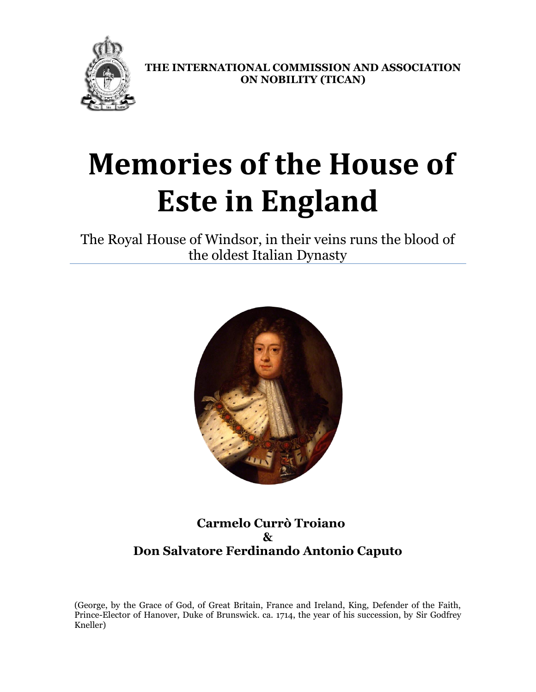

**THE INTERNATIONAL COMMISSION AND ASSOCIATION ON NOBILITY (TICAN)**

# **Memories of the House of Este in England**

The Royal House of Windsor, in their veins runs the blood of the oldest Italian Dynasty



## **Carmelo Currò Troiano & Don Salvatore Ferdinando Antonio Caputo**

(George, by the Grace of God, of Great Britain, France and Ireland, King, Defender of the Faith, Prince-Elector of Hanover, Duke of Brunswick. ca. 1714, the year of his succession, by Sir Godfrey Kneller)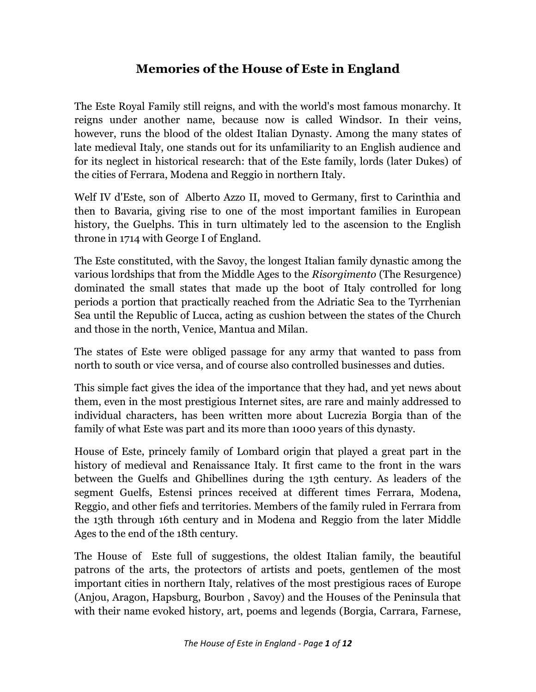# **Memories of the House of Este in England**

The Este Royal Family still reigns, and with the world's most famous monarchy. It reigns under another name, because now is called Windsor. In their veins, however, runs the blood of the oldest Italian Dynasty. Among the many states of late medieval Italy, one stands out for its unfamiliarity to an English audience and for its neglect in historical research: that of the Este family, lords (later Dukes) of the cities of Ferrara, Modena and Reggio in northern Italy.

Welf IV d'Este, son of Alberto Azzo II, moved to Germany, first to Carinthia and then to Bavaria, giving rise to one of the most important families in European history, the Guelphs. This in turn ultimately led to the ascension to the English throne in 1714 with George I of England.

The Este constituted, with the Savoy, the longest Italian family dynastic among the various lordships that from the Middle Ages to the *Risorgimento* (The Resurgence) dominated the small states that made up the boot of Italy controlled for long periods a portion that practically reached from the Adriatic Sea to the Tyrrhenian Sea until the Republic of Lucca, acting as cushion between the states of the Church and those in the north, Venice, Mantua and Milan.

The states of Este were obliged passage for any army that wanted to pass from north to south or vice versa, and of course also controlled businesses and duties.

This simple fact gives the idea of the importance that they had, and yet news about them, even in the most prestigious Internet sites, are rare and mainly addressed to individual characters, has been written more about Lucrezia Borgia than of the family of what Este was part and its more than 1000 years of this dynasty.

House of Este, princely family of Lombard origin that played a great part in the history of medieval and Renaissance Italy. It first came to the front in the wars between the Guelfs and Ghibellines during the 13th century. As leaders of the segment Guelfs, Estensi princes received at different times Ferrara, Modena, Reggio, and other fiefs and territories. Members of the family ruled in Ferrara from the 13th through 16th century and in Modena and Reggio from the later Middle Ages to the end of the 18th century.

The House of Este full of suggestions, the oldest Italian family, the beautiful patrons of the arts, the protectors of artists and poets, gentlemen of the most important cities in northern Italy, relatives of the most prestigious races of Europe (Anjou, Aragon, Hapsburg, Bourbon , Savoy) and the Houses of the Peninsula that with their name evoked history, art, poems and legends (Borgia, Carrara, Farnese,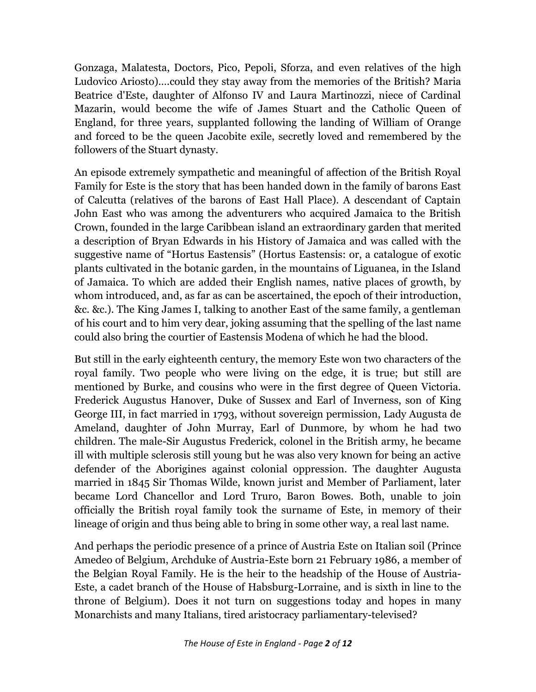Gonzaga, Malatesta, Doctors, Pico, Pepoli, Sforza, and even relatives of the high Ludovico Ariosto)….could they stay away from the memories of the British? Maria Beatrice d'Este, daughter of Alfonso IV and Laura Martinozzi, niece of Cardinal Mazarin, would become the wife of James Stuart and the Catholic Queen of England, for three years, supplanted following the landing of William of Orange and forced to be the queen Jacobite exile, secretly loved and remembered by the followers of the Stuart dynasty.

An episode extremely sympathetic and meaningful of affection of the British Royal Family for Este is the story that has been handed down in the family of barons East of Calcutta (relatives of the barons of East Hall Place). A descendant of Captain John East who was among the adventurers who acquired Jamaica to the British Crown, founded in the large Caribbean island an extraordinary garden that merited a description of Bryan Edwards in his History of Jamaica and was called with the suggestive name of "Hortus Eastensis" (Hortus Eastensis: or, a catalogue of exotic plants cultivated in the botanic garden, in the mountains of Liguanea, in the Island of Jamaica. To which are added their English names, native places of growth, by whom introduced, and, as far as can be ascertained, the epoch of their introduction, &c. &c.). The King James I, talking to another East of the same family, a gentleman of his court and to him very dear, joking assuming that the spelling of the last name could also bring the courtier of Eastensis Modena of which he had the blood.

But still in the early eighteenth century, the memory Este won two characters of the royal family. Two people who were living on the edge, it is true; but still are mentioned by Burke, and cousins who were in the first degree of Queen Victoria. Frederick Augustus Hanover, Duke of Sussex and Earl of Inverness, son of King George III, in fact married in 1793, without sovereign permission, Lady Augusta de Ameland, daughter of John Murray, Earl of Dunmore, by whom he had two children. The male-Sir Augustus Frederick, colonel in the British army, he became ill with multiple sclerosis still young but he was also very known for being an active defender of the Aborigines against colonial oppression. The daughter Augusta married in 1845 Sir Thomas Wilde, known jurist and Member of Parliament, later became Lord Chancellor and Lord Truro, Baron Bowes. Both, unable to join officially the British royal family took the surname of Este, in memory of their lineage of origin and thus being able to bring in some other way, a real last name.

And perhaps the periodic presence of a prince of Austria Este on Italian soil (Prince Amedeo of Belgium, Archduke of Austria-Este born 21 February 1986, a member of the Belgian Royal Family. He is the heir to the headship of the House of Austria-Este, a cadet branch of the House of Habsburg-Lorraine, and is sixth in line to the throne of Belgium). Does it not turn on suggestions today and hopes in many Monarchists and many Italians, tired aristocracy parliamentary-televised?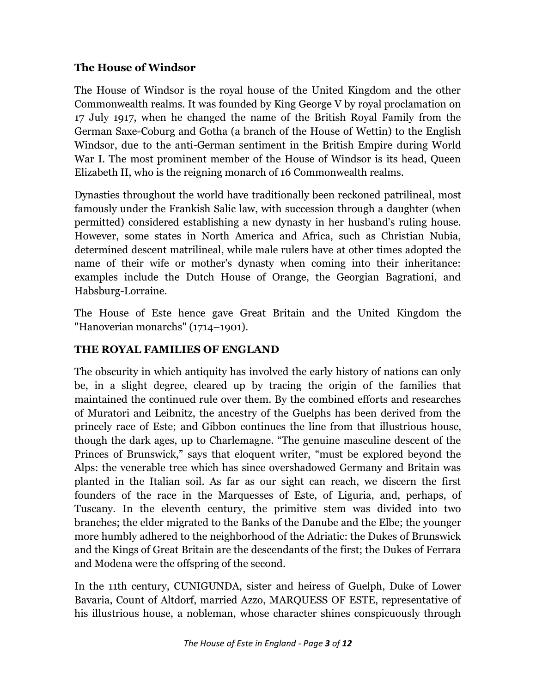#### **The House of Windsor**

The House of Windsor is the royal house of the United Kingdom and the other Commonwealth realms. It was founded by King George V by royal proclamation on 17 July 1917, when he changed the name of the British Royal Family from the German Saxe-Coburg and Gotha (a branch of the House of Wettin) to the English Windsor, due to the anti-German sentiment in the British Empire during World War I. The most prominent member of the House of Windsor is its head, Queen Elizabeth II, who is the reigning monarch of 16 Commonwealth realms.

Dynasties throughout the world have traditionally been reckoned patrilineal, most famously under the Frankish Salic law, with succession through a daughter (when permitted) considered establishing a new dynasty in her husband's ruling house. However, some states in North America and Africa, such as Christian Nubia, determined descent matrilineal, while male rulers have at other times adopted the name of their wife or mother's dynasty when coming into their inheritance: examples include the Dutch House of Orange, the Georgian Bagrationi, and Habsburg-Lorraine.

The House of Este hence gave Great Britain and the United Kingdom the "Hanoverian monarchs" (1714–1901).

#### **THE ROYAL FAMILIES OF ENGLAND**

The obscurity in which antiquity has involved the early history of nations can only be, in a slight degree, cleared up by tracing the origin of the families that maintained the continued rule over them. By the combined efforts and researches of Muratori and Leibnitz, the ancestry of the Guelphs has been derived from the princely race of Este; and Gibbon continues the line from that illustrious house, though the dark ages, up to Charlemagne. "The genuine masculine descent of the Princes of Brunswick," says that eloquent writer, "must be explored beyond the Alps: the venerable tree which has since overshadowed Germany and Britain was planted in the Italian soil. As far as our sight can reach, we discern the first founders of the race in the Marquesses of Este, of Liguria, and, perhaps, of Tuscany. In the eleventh century, the primitive stem was divided into two branches; the elder migrated to the Banks of the Danube and the Elbe; the younger more humbly adhered to the neighborhood of the Adriatic: the Dukes of Brunswick and the Kings of Great Britain are the descendants of the first; the Dukes of Ferrara and Modena were the offspring of the second.

In the 11th century, CUNIGUNDA, sister and heiress of Guelph, Duke of Lower Bavaria, Count of Altdorf, married Azzo, MARQUESS OF ESTE, representative of his illustrious house, a nobleman, whose character shines conspicuously through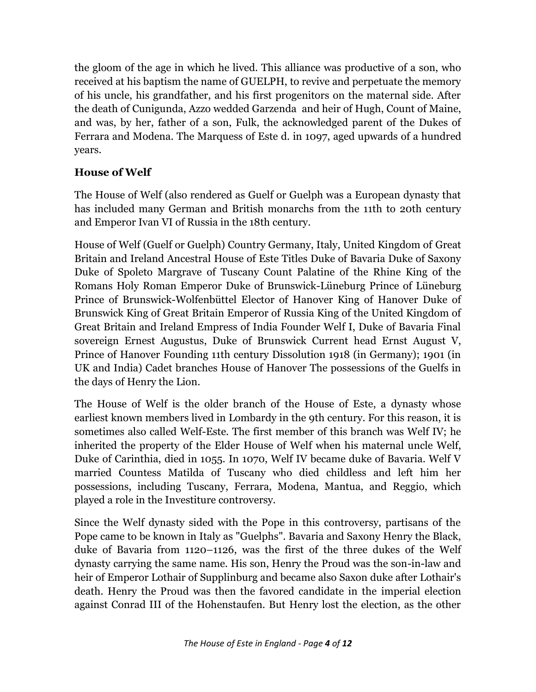the gloom of the age in which he lived. This alliance was productive of a son, who received at his baptism the name of GUELPH, to revive and perpetuate the memory of his uncle, his grandfather, and his first progenitors on the maternal side. After the death of Cunigunda, Azzo wedded Garzenda and heir of Hugh, Count of Maine, and was, by her, father of a son, Fulk, the acknowledged parent of the Dukes of Ferrara and Modena. The Marquess of Este d. in 1097, aged upwards of a hundred years.

## **House of Welf**

The House of Welf (also rendered as Guelf or Guelph was a European dynasty that has included many German and British monarchs from the 11th to 20th century and Emperor Ivan VI of Russia in the 18th century.

House of Welf (Guelf or Guelph) Country Germany, Italy, United Kingdom of Great Britain and Ireland Ancestral House of Este Titles Duke of Bavaria Duke of Saxony Duke of Spoleto Margrave of Tuscany Count Palatine of the Rhine King of the Romans Holy Roman Emperor Duke of Brunswick-Lüneburg Prince of Lüneburg Prince of Brunswick-Wolfenbüttel Elector of Hanover King of Hanover Duke of Brunswick King of Great Britain Emperor of Russia King of the United Kingdom of Great Britain and Ireland Empress of India Founder Welf I, Duke of Bavaria Final sovereign Ernest Augustus, Duke of Brunswick Current head Ernst August V, Prince of Hanover Founding 11th century Dissolution 1918 (in Germany); 1901 (in UK and India) Cadet branches House of Hanover The possessions of the Guelfs in the days of Henry the Lion.

The House of Welf is the older branch of the House of Este, a dynasty whose earliest known members lived in Lombardy in the 9th century. For this reason, it is sometimes also called Welf-Este. The first member of this branch was Welf IV; he inherited the property of the Elder House of Welf when his maternal uncle Welf, Duke of Carinthia, died in 1055. In 1070, Welf IV became duke of Bavaria. Welf V married Countess Matilda of Tuscany who died childless and left him her possessions, including Tuscany, Ferrara, Modena, Mantua, and Reggio, which played a role in the Investiture controversy.

Since the Welf dynasty sided with the Pope in this controversy, partisans of the Pope came to be known in Italy as "Guelphs". Bavaria and Saxony Henry the Black, duke of Bavaria from 1120–1126, was the first of the three dukes of the Welf dynasty carrying the same name. His son, Henry the Proud was the son-in-law and heir of Emperor Lothair of Supplinburg and became also Saxon duke after Lothair's death. Henry the Proud was then the favored candidate in the imperial election against Conrad III of the Hohenstaufen. But Henry lost the election, as the other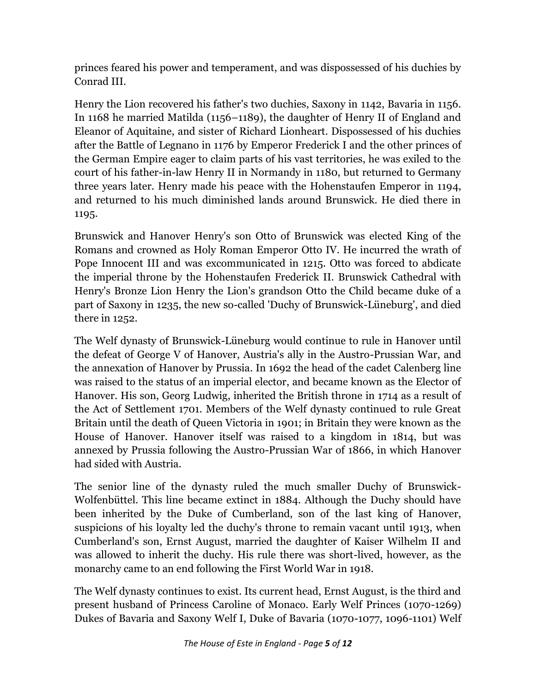princes feared his power and temperament, and was dispossessed of his duchies by Conrad III.

Henry the Lion recovered his father's two duchies, Saxony in 1142, Bavaria in 1156. In 1168 he married Matilda (1156–1189), the daughter of Henry II of England and Eleanor of Aquitaine, and sister of Richard Lionheart. Dispossessed of his duchies after the Battle of Legnano in 1176 by Emperor Frederick I and the other princes of the German Empire eager to claim parts of his vast territories, he was exiled to the court of his father-in-law Henry II in Normandy in 1180, but returned to Germany three years later. Henry made his peace with the Hohenstaufen Emperor in 1194, and returned to his much diminished lands around Brunswick. He died there in 1195.

Brunswick and Hanover Henry's son Otto of Brunswick was elected King of the Romans and crowned as Holy Roman Emperor Otto IV. He incurred the wrath of Pope Innocent III and was excommunicated in 1215. Otto was forced to abdicate the imperial throne by the Hohenstaufen Frederick II. Brunswick Cathedral with Henry's Bronze Lion Henry the Lion's grandson Otto the Child became duke of a part of Saxony in 1235, the new so-called 'Duchy of Brunswick-Lüneburg', and died there in 1252.

The Welf dynasty of Brunswick-Lüneburg would continue to rule in Hanover until the defeat of George V of Hanover, Austria's ally in the Austro-Prussian War, and the annexation of Hanover by Prussia. In 1692 the head of the cadet Calenberg line was raised to the status of an imperial elector, and became known as the Elector of Hanover. His son, Georg Ludwig, inherited the British throne in 1714 as a result of the Act of Settlement 1701. Members of the Welf dynasty continued to rule Great Britain until the death of Queen Victoria in 1901; in Britain they were known as the House of Hanover. Hanover itself was raised to a kingdom in 1814, but was annexed by Prussia following the Austro-Prussian War of 1866, in which Hanover had sided with Austria.

The senior line of the dynasty ruled the much smaller Duchy of Brunswick-Wolfenbüttel. This line became extinct in 1884. Although the Duchy should have been inherited by the Duke of Cumberland, son of the last king of Hanover, suspicions of his loyalty led the duchy's throne to remain vacant until 1913, when Cumberland's son, Ernst August, married the daughter of Kaiser Wilhelm II and was allowed to inherit the duchy. His rule there was short-lived, however, as the monarchy came to an end following the First World War in 1918.

The Welf dynasty continues to exist. Its current head, Ernst August, is the third and present husband of Princess Caroline of Monaco. Early Welf Princes (1070-1269) Dukes of Bavaria and Saxony Welf I, Duke of Bavaria (1070-1077, 1096-1101) Welf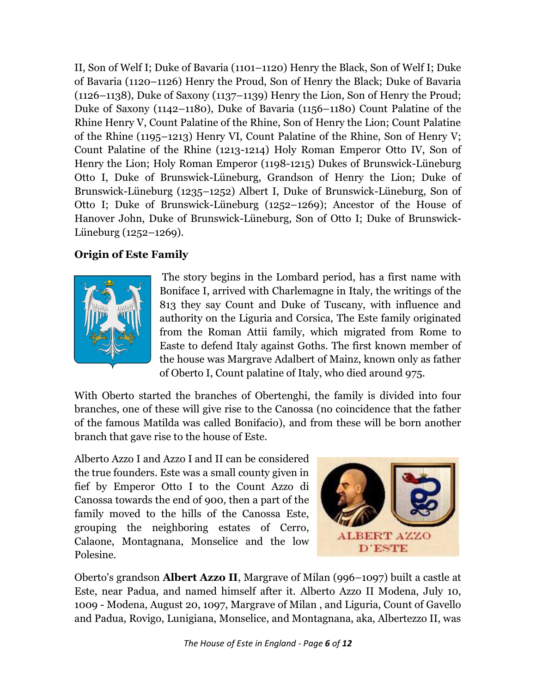II, Son of Welf I; Duke of Bavaria (1101–1120) Henry the Black, Son of Welf I; Duke of Bavaria (1120–1126) Henry the Proud, Son of Henry the Black; Duke of Bavaria (1126–1138), Duke of Saxony (1137–1139) Henry the Lion, Son of Henry the Proud; Duke of Saxony (1142–1180), Duke of Bavaria (1156–1180) Count Palatine of the Rhine Henry V, Count Palatine of the Rhine, Son of Henry the Lion; Count Palatine of the Rhine (1195–1213) Henry VI, Count Palatine of the Rhine, Son of Henry V; Count Palatine of the Rhine (1213-1214) Holy Roman Emperor Otto IV, Son of Henry the Lion; Holy Roman Emperor (1198-1215) Dukes of Brunswick-Lüneburg Otto I, Duke of Brunswick-Lüneburg, Grandson of Henry the Lion; Duke of Brunswick-Lüneburg (1235–1252) Albert I, Duke of Brunswick-Lüneburg, Son of Otto I; Duke of Brunswick-Lüneburg (1252–1269); Ancestor of the House of Hanover John, Duke of Brunswick-Lüneburg, Son of Otto I; Duke of Brunswick-Lüneburg (1252–1269).

## **Origin of Este Family**



The story begins in the Lombard period, has a first name with Boniface I, arrived with Charlemagne in Italy, the writings of the 813 they say Count and Duke of Tuscany, with influence and authority on the Liguria and Corsica, The Este family originated from the Roman Attii family, which migrated from Rome to Easte to defend Italy against Goths. The first known member of the house was Margrave Adalbert of Mainz, known only as father of Oberto I, Count palatine of Italy, who died around 975.

With Oberto started the branches of Obertenghi, the family is divided into four branches, one of these will give rise to the Canossa (no coincidence that the father of the famous Matilda was called Bonifacio), and from these will be born another branch that gave rise to the house of Este.

Alberto Azzo I and Azzo I and II can be considered the true founders. Este was a small county given in fief by Emperor Otto I to the Count Azzo di Canossa towards the end of 900, then a part of the family moved to the hills of the Canossa Este, grouping the neighboring estates of Cerro, Calaone, Montagnana, Monselice and the low Polesine.



Oberto's grandson **Albert Azzo II**, Margrave of Milan (996–1097) built a castle at Este, near Padua, and named himself after it. Alberto Azzo II Modena, July 10, 1009 - Modena, August 20, 1097, Margrave of Milan , and Liguria, Count of Gavello and Padua, Rovigo, Lunigiana, Monselice, and Montagnana, aka, Albertezzo II, was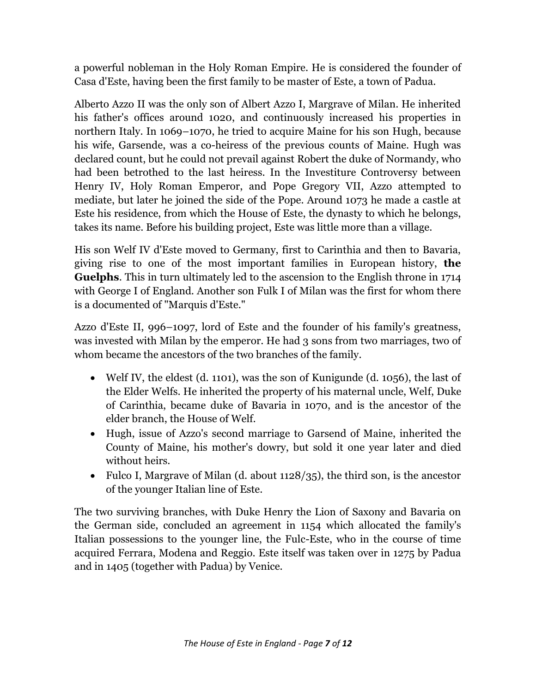a powerful nobleman in the Holy Roman Empire. He is considered the founder of Casa d'Este, having been the first family to be master of Este, a town of Padua.

Alberto Azzo II was the only son of Albert Azzo I, Margrave of Milan. He inherited his father's offices around 1020, and continuously increased his properties in northern Italy. In 1069–1070, he tried to acquire Maine for his son Hugh, because his wife, Garsende, was a co-heiress of the previous counts of Maine. Hugh was declared count, but he could not prevail against Robert the duke of Normandy, who had been betrothed to the last heiress. In the Investiture Controversy between Henry IV, Holy Roman Emperor, and Pope Gregory VII, Azzo attempted to mediate, but later he joined the side of the Pope. Around 1073 he made a castle at Este his residence, from which the House of Este, the dynasty to which he belongs, takes its name. Before his building project, Este was little more than a village.

His son Welf IV d'Este moved to Germany, first to Carinthia and then to Bavaria, giving rise to one of the most important families in European history, **the Guelphs**. This in turn ultimately led to the ascension to the English throne in 1714 with George I of England. Another son Fulk I of Milan was the first for whom there is a documented of "Marquis d'Este."

Azzo d'Este II, 996–1097, lord of Este and the founder of his family's greatness, was invested with Milan by the emperor. He had 3 sons from two marriages, two of whom became the ancestors of the two branches of the family.

- Welf IV, the eldest (d. 1101), was the son of Kunigunde (d. 1056), the last of the Elder Welfs. He inherited the property of his maternal uncle, Welf, Duke of Carinthia, became duke of Bavaria in 1070, and is the ancestor of the elder branch, the House of Welf.
- Hugh, issue of Azzo's second marriage to Garsend of Maine, inherited the County of Maine, his mother's dowry, but sold it one year later and died without heirs.
- Fulco I, Margrave of Milan (d. about  $1128/35$ ), the third son, is the ancestor of the younger Italian line of Este.

The two surviving branches, with Duke Henry the Lion of Saxony and Bavaria on the German side, concluded an agreement in 1154 which allocated the family's Italian possessions to the younger line, the Fulc-Este, who in the course of time acquired Ferrara, Modena and Reggio. Este itself was taken over in 1275 by Padua and in 1405 (together with Padua) by Venice.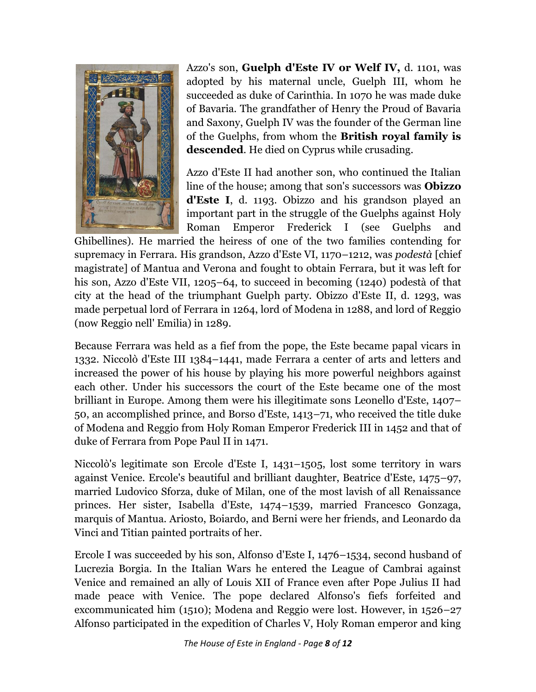

Azzo's son, **Guelph d'Este IV or Welf IV,** d. 1101, was adopted by his maternal uncle, Guelph III, whom he succeeded as duke of Carinthia. In 1070 he was made duke of Bavaria. The grandfather of Henry the Proud of Bavaria and Saxony, Guelph IV was the founder of the German line of the Guelphs, from whom the **British royal family is descended**. He died on Cyprus while crusading.

Azzo d'Este II had another son, who continued the Italian line of the house; among that son's successors was **Obizzo d'Este I**, d. 1193. Obizzo and his grandson played an important part in the struggle of the Guelphs against Holy Roman Emperor Frederick I (see Guelphs and

Ghibellines). He married the heiress of one of the two families contending for supremacy in Ferrara. His grandson, Azzo d'Este VI, 1170–1212, was *podestà* [chief magistrate] of Mantua and Verona and fought to obtain Ferrara, but it was left for his son, Azzo d'Este VII, 1205–64, to succeed in becoming (1240) podestà of that city at the head of the triumphant Guelph party. Obizzo d'Este II, d. 1293, was made perpetual lord of Ferrara in 1264, lord of Modena in 1288, and lord of Reggio (now Reggio nell' Emilia) in 1289.

Because Ferrara was held as a fief from the pope, the Este became papal vicars in 1332. Niccolò d'Este III 1384–1441, made Ferrara a center of arts and letters and increased the power of his house by playing his more powerful neighbors against each other. Under his successors the court of the Este became one of the most brilliant in Europe. Among them were his illegitimate sons Leonello d'Este, 1407– 50, an accomplished prince, and Borso d'Este, 1413–71, who received the title duke of Modena and Reggio from Holy Roman Emperor Frederick III in 1452 and that of duke of Ferrara from Pope Paul II in 1471.

Niccolò's legitimate son Ercole d'Este I, 1431–1505, lost some territory in wars against Venice. Ercole's beautiful and brilliant daughter, Beatrice d'Este, 1475–97, married Ludovico Sforza, duke of Milan, one of the most lavish of all Renaissance princes. Her sister, Isabella d'Este, 1474–1539, married Francesco Gonzaga, marquis of Mantua. Ariosto, Boiardo, and Berni were her friends, and Leonardo da Vinci and Titian painted portraits of her.

Ercole I was succeeded by his son, Alfonso d'Este I, 1476–1534, second husband of Lucrezia Borgia. In the Italian Wars he entered the League of Cambrai against Venice and remained an ally of Louis XII of France even after Pope Julius II had made peace with Venice. The pope declared Alfonso's fiefs forfeited and excommunicated him (1510); Modena and Reggio were lost. However, in 1526–27 Alfonso participated in the expedition of Charles V, Holy Roman emperor and king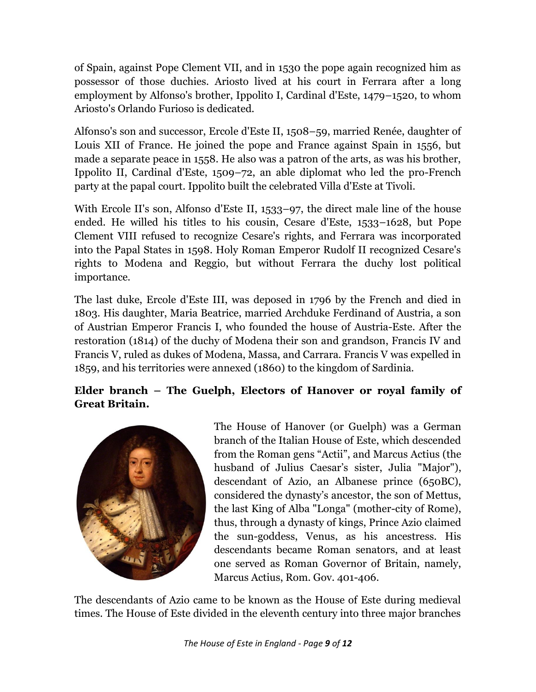of Spain, against Pope Clement VII, and in 1530 the pope again recognized him as possessor of those duchies. Ariosto lived at his court in Ferrara after a long employment by Alfonso's brother, Ippolito I, Cardinal d'Este, 1479–1520, to whom Ariosto's Orlando Furioso is dedicated.

Alfonso's son and successor, Ercole d'Este II, 1508–59, married Renée, daughter of Louis XII of France. He joined the pope and France against Spain in 1556, but made a separate peace in 1558. He also was a patron of the arts, as was his brother, Ippolito II, Cardinal d'Este, 1509–72, an able diplomat who led the pro-French party at the papal court. Ippolito built the celebrated Villa d'Este at Tivoli.

With Ercole II's son, Alfonso d'Este II, 1533–97, the direct male line of the house ended. He willed his titles to his cousin, Cesare d'Este, 1533–1628, but Pope Clement VIII refused to recognize Cesare's rights, and Ferrara was incorporated into the Papal States in 1598. Holy Roman Emperor Rudolf II recognized Cesare's rights to Modena and Reggio, but without Ferrara the duchy lost political importance.

The last duke, Ercole d'Este III, was deposed in 1796 by the French and died in 1803. His daughter, Maria Beatrice, married Archduke Ferdinand of Austria, a son of Austrian Emperor Francis I, who founded the house of Austria-Este. After the restoration (1814) of the duchy of Modena their son and grandson, Francis IV and Francis V, ruled as dukes of Modena, Massa, and Carrara. Francis V was expelled in 1859, and his territories were annexed (1860) to the kingdom of Sardinia.

# **Elder branch – The Guelph, Electors of Hanover or royal family of Great Britain.**



The House of Hanover (or Guelph) was a German branch of the Italian House of Este, which descended from the Roman gens "Actii", and Marcus Actius (the husband of Julius Caesar's sister, Julia "Major"), descendant of Azio, an Albanese prince (650BC), considered the dynasty's ancestor, the son of Mettus, the last King of Alba "Longa" (mother-city of Rome), thus, through a dynasty of kings, Prince Azio claimed the sun-goddess, Venus, as his ancestress. His descendants became Roman senators, and at least one served as Roman Governor of Britain, namely, Marcus Actius, Rom. Gov. 401-406.

The descendants of Azio came to be known as the House of Este during medieval times. The House of Este divided in the eleventh century into three major branches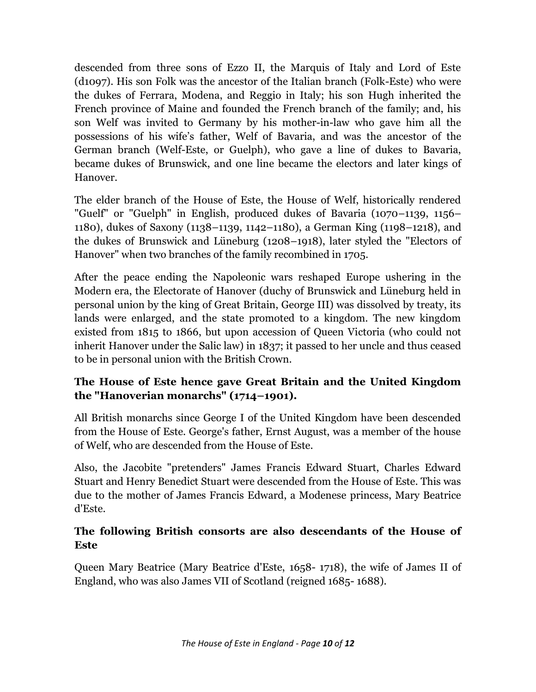descended from three sons of Ezzo II, the Marquis of Italy and Lord of Este (d1097). His son Folk was the ancestor of the Italian branch (Folk-Este) who were the dukes of Ferrara, Modena, and Reggio in Italy; his son Hugh inherited the French province of Maine and founded the French branch of the family; and, his son Welf was invited to Germany by his mother-in-law who gave him all the possessions of his wife's father, Welf of Bavaria, and was the ancestor of the German branch (Welf-Este, or Guelph), who gave a line of dukes to Bavaria, became dukes of Brunswick, and one line became the electors and later kings of Hanover.

The elder branch of the House of Este, the House of Welf, historically rendered "Guelf" or "Guelph" in English, produced dukes of Bavaria (1070–1139, 1156– 1180), dukes of Saxony (1138–1139, 1142–1180), a German King (1198–1218), and the dukes of Brunswick and Lüneburg (1208–1918), later styled the "Electors of Hanover" when two branches of the family recombined in 1705.

After the peace ending the Napoleonic wars reshaped Europe ushering in the Modern era, the Electorate of Hanover (duchy of Brunswick and Lüneburg held in personal union by the king of Great Britain, George III) was dissolved by treaty, its lands were enlarged, and the state promoted to a kingdom. The new kingdom existed from 1815 to 1866, but upon accession of Queen Victoria (who could not inherit Hanover under the Salic law) in 1837; it passed to her uncle and thus ceased to be in personal union with the British Crown.

## **The House of Este hence gave Great Britain and the United Kingdom the "Hanoverian monarchs" (1714–1901).**

All British monarchs since George I of the United Kingdom have been descended from the House of Este. George's father, Ernst August, was a member of the house of Welf, who are descended from the House of Este.

Also, the Jacobite "pretenders" James Francis Edward Stuart, Charles Edward Stuart and Henry Benedict Stuart were descended from the House of Este. This was due to the mother of James Francis Edward, a Modenese princess, Mary Beatrice d'Este.

#### **The following British consorts are also descendants of the House of Este**

Queen Mary Beatrice (Mary Beatrice d'Este, 1658- 1718), the wife of James II of England, who was also James VII of Scotland (reigned 1685- 1688).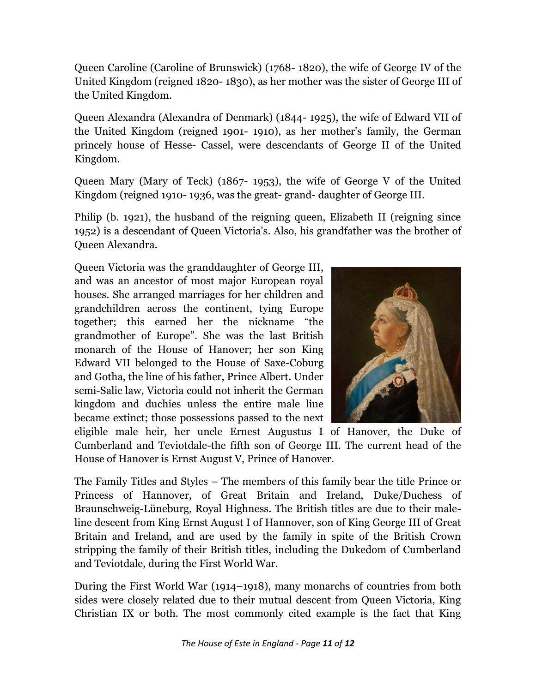Queen Caroline (Caroline of Brunswick) (1768- 1820), the wife of George IV of the United Kingdom (reigned 1820- 1830), as her mother was the sister of George III of the United Kingdom.

Queen Alexandra (Alexandra of Denmark) (1844- 1925), the wife of Edward VII of the United Kingdom (reigned 1901- 1910), as her mother's family, the German princely house of Hesse- Cassel, were descendants of George II of the United Kingdom.

Queen Mary (Mary of Teck) (1867- 1953), the wife of George V of the United Kingdom (reigned 1910- 1936, was the great- grand- daughter of George III.

Philip (b. 1921), the husband of the reigning queen, Elizabeth II (reigning since 1952) is a descendant of Queen Victoria's. Also, his grandfather was the brother of Queen Alexandra.

Queen Victoria was the granddaughter of George III, and was an ancestor of most major European royal houses. She arranged marriages for her children and grandchildren across the continent, tying Europe together; this earned her the nickname "the grandmother of Europe". She was the last British monarch of the House of Hanover; her son King Edward VII belonged to the House of Saxe-Coburg and Gotha, the line of his father, Prince Albert. Under semi-Salic law, Victoria could not inherit the German kingdom and duchies unless the entire male line became extinct; those possessions passed to the next



eligible male heir, her uncle Ernest Augustus I of Hanover, the Duke of Cumberland and Teviotdale-the fifth son of George III. The current head of the House of Hanover is Ernst August V, Prince of Hanover.

The Family Titles and Styles – The members of this family bear the title Prince or Princess of Hannover, of Great Britain and Ireland, Duke/Duchess of Braunschweig-Lüneburg, Royal Highness. The British titles are due to their maleline descent from King Ernst August I of Hannover, son of King George III of Great Britain and Ireland, and are used by the family in spite of the British Crown stripping the family of their British titles, including the Dukedom of Cumberland and Teviotdale, during the First World War.

During the First World War (1914–1918), many monarchs of countries from both sides were closely related due to their mutual descent from Queen Victoria, King Christian IX or both. The most commonly cited example is the fact that King